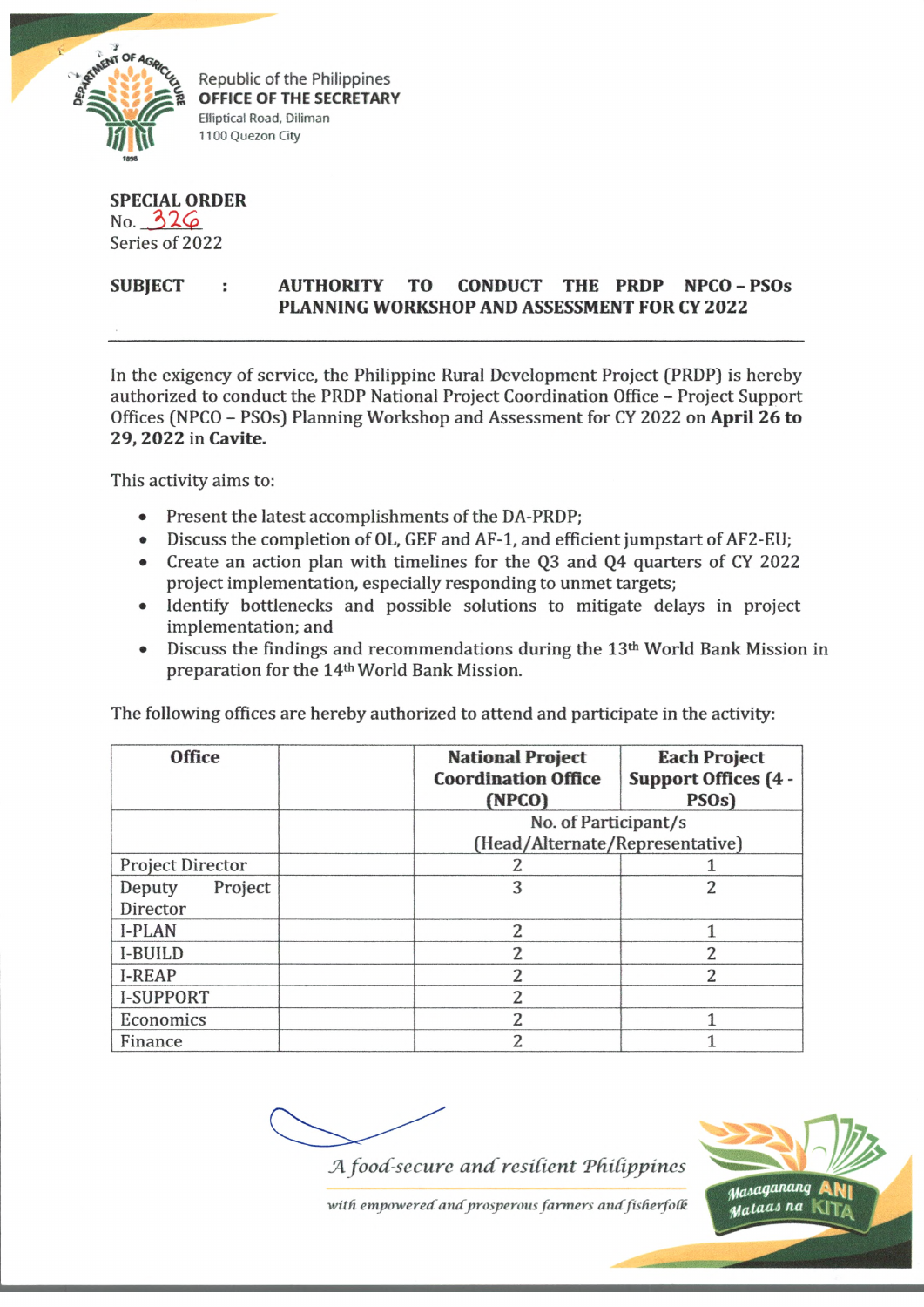

Republic of the Philippines **OFFICE OF THE SECRETARY** EHiptical Road, Diflman 1100 Quezon City

**SPECIAL ORDER**  $No. 326$ Series of 2022

## **SUBJECT : AUTHORITY TO CONDUCT THE PRDP NPCO - PSOs PLANNING WORKSHOP AND ASSESSMENT FOR CY 2022**

In the exigency of service, the Philippine Rural Development Project (PRDP) is hereby authorized to conduct the PRDP National Project Coordination Office - Project Support Offices (NPCO - PSOs) Planning Workshop and Assessment for CY 2022 on **April 26 to 29, 2022** in **Cavite.**

This activity aims to:

- Present the latest accomplishments of the DA-PRDP;
- Discuss the completion of OL, GEF and AF-1, and efficient jumpstart of AF2-EU;
- Create an action plan with timelines for the Q3 and Q4 quarters of CY 2022 project implementation, especially responding to unmet targets;
- Identify bottlenecks and possible solutions to mitigate delays in project implementation; and
- Discuss the findings and recommendations during the 13<sup>th</sup> World Bank Mission in preparation for the 14th World Bank Mission.

The following offices are hereby authorized to attend and participate in the activity:

| <b>Office</b>     | <b>National Project</b><br><b>Coordination Office</b> | <b>Each Project</b><br><b>Support Offices (4 -</b> |
|-------------------|-------------------------------------------------------|----------------------------------------------------|
|                   | (NPCO)                                                | PSO <sub>s</sub> )                                 |
|                   | No. of Participant/s                                  |                                                    |
|                   | (Head/Alternate/Representative)                       |                                                    |
| Project Director  |                                                       |                                                    |
| Project<br>Deputy | 3                                                     | 2                                                  |
| Director          |                                                       |                                                    |
| <b>I-PLAN</b>     | 2                                                     |                                                    |
| <b>I-BUILD</b>    | 2                                                     | $\overline{2}$                                     |
| <b>I-REAP</b>     | $\overline{2}$                                        | $\overline{2}$                                     |
| I-SUPPORT         | 2                                                     |                                                    |
| Economics         | 2                                                     |                                                    |
| Finance           | $\overline{c}$                                        |                                                    |

A food-secure and resilient Philippines



with empowered and prosperous farmers and fisherfolk